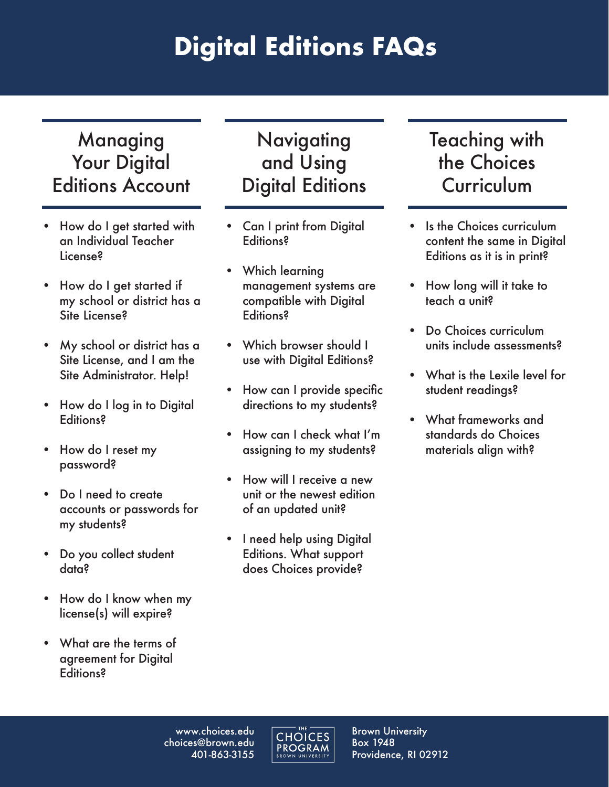# **Digital Editions FAQs**

## Managing Your Digital [Editions Account](#page-1-0)

- How do I get started with an Individual Teacher License?
- How do I get started if my school or district has a Site License?
- My school or district has a Site License, and I am the Site Administrator. Help!
- How do I log in to Digital **Editions?**
- How do I reset my password?
- Do I need to create accounts or passwords for my students?
- Do you collect student data?
- How do I know when my license(s) will expire?
- What are the terms of agreement for Digital Editions?

# **Navigating** and Using [Digital Editions](#page-2-0)

- Can I print from Digital Editions?
- Which learning management systems are compatible with Digital Editions?
- Which browser should I use with Digital Editions?
- How can I provide specific directions to my students?
- How can I check what I'm assigning to my students?
- How will I receive a new unit or the newest edition of an updated unit?
- I need help using Digital Editions. What support does Choices provide?

# [Teaching with](#page-3-0)  the Choices **Curriculum**

- Is the Choices curriculum content the same in Digital Editions as it is in print?
- How long will it take to teach a unit?
- Do Choices curriculum units include assessments?
- What is the Lexile level for student readings?
- What frameworks and standards do Choices materials align with?

www.choices.edu choices@brown.edu 401-863-3155

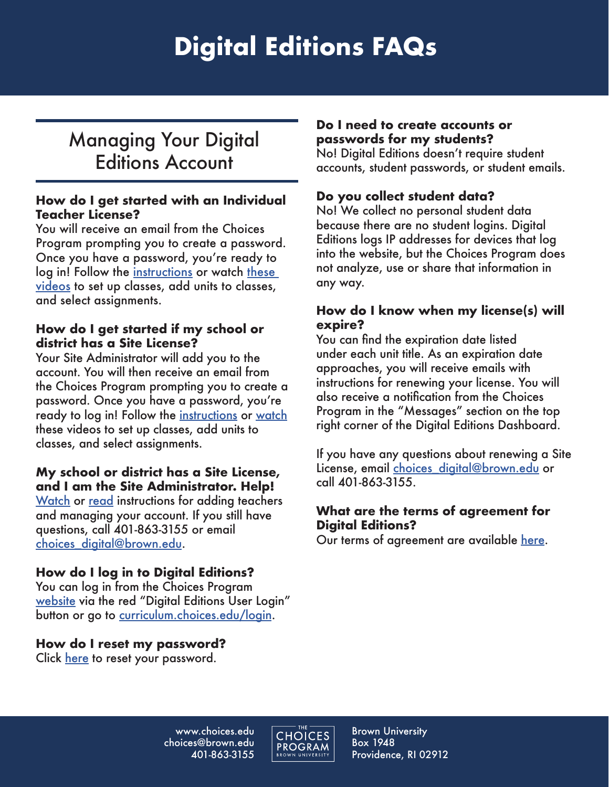# **Digital Editions FAQs**

# <span id="page-1-0"></span>Managing Your Digital Editions Account

#### **How do I get started with an Individual Teacher License?**

You will receive an email from the Choices Program prompting you to create a password. Once you have a password, you're ready to log in! Follow the [instructions](https://www.choices.edu/wp-content/uploads/2022/05/Instructions-for-Digital-Editions.pdf) or watch these [videos](https://www.youtube.com/playlist?list=PL79pes3tibC6poW_TOskPggAz__1zHihZ) to set up classes, add units to classes, and select assignments.

### **How do I get started if my school or district has a Site License?**

Your Site Administrator will add you to the account. You will then receive an email from the Choices Program prompting you to create a password. Once you have a password, you're ready to log in! Follow th[e instructions o](https://www.choices.edu/wp-content/uploads/2022/05/Instructions-for-Digital-Editions-Site-Administrators.pdf)r [watch](https://www.youtube.com/playlist?list=PL79pes3tibC6poW_TOskPggAz__1zHihZ) these videos to set up classes, add units to classes, and select assignments.

#### **My school or district has a Site License, and I am the Site Administrator. Help!**

<u>Watch</u> or <u>read</u> instructions for adding teachers and managing your account. If you still have questions, call 401-863-3155 or email choices\_digital@brown.edu.

## **How do I log in to Digital Editions?**

You can log in from the Choices Program [website v](www.choices.edu)ia the red "Digital Editions User Login" button or go to [curriculum.choices.edu/login.](curriculum.choices.edu/login)

### **How do I reset my password?**

Click <u>here</u> to reset your password.

### **Do I need to create accounts or passwords for my students?**

No! Digital Editions doesn't require student accounts, student passwords, or student emails.

## **Do you collect student data?**

No! We collect no personal student data because there are no student logins. Digital Editions logs IP addresses for devices that log into the website, but the Choices Program does not analyze, use or share that information in any way.

#### **How do I know when my license(s) will expire?**

You can find the expiration date listed under each unit title. As an expiration date approaches, you will receive emails with instructions for renewing your license. You will also receive a notification from the Choices Program in the "Messages" section on the top right corner of the Digital Editions Dashboard.

If you have any questions about renewing a Site License, email choices digital@brown.edu or call 401-863-3155.

#### **What are the terms of agreement for Digital Editions?**

Our terms of agreement are available [here.](https://www.choices.edu/wp-content/uploads/2020/03/ChoicesProgram_DigitalEditionsSubscriptionAgreement_03-37-2020_Ind.pdf)

www.choices.edu choices@brown.edu 401-863-3155



Brown University Box 1948 Providence, RI 02912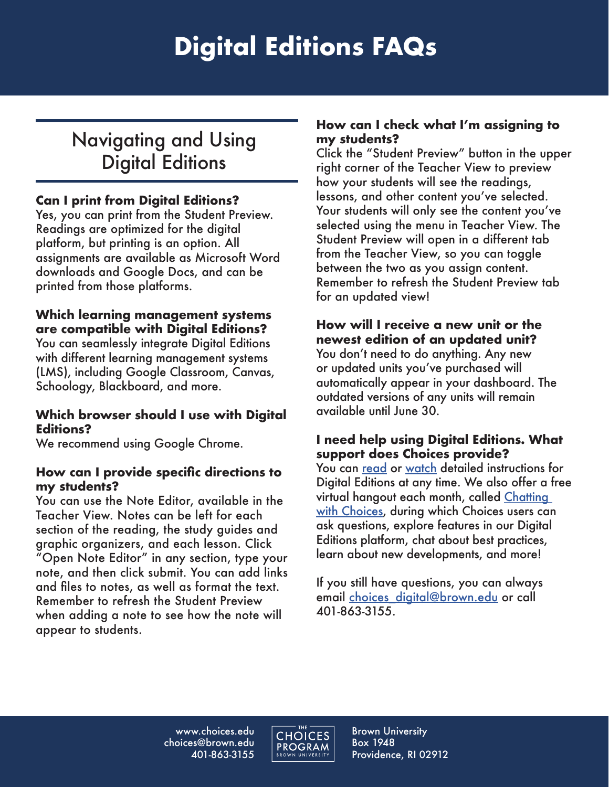# <span id="page-2-0"></span>Navigating and Using Digital Editions

### **Can I print from Digital Editions?**

Yes, you can print from the Student Preview. Readings are optimized for the digital platform, but printing is an option. All assignments are available as Microsoft Word downloads and Google Docs, and can be printed from those platforms.

## **Which learning management systems are compatible with Digital Editions?**

You can seamlessly integrate Digital Editions with different learning management systems (LMS), including Google Classroom, Canvas, Schoology, Blackboard, and more.

### **Which browser should I use with Digital Editions?**

We recommend using Google Chrome.

### **How can I provide specific directions to my students?**

You can use the Note Editor, available in the Teacher View. Notes can be left for each section of the reading, the study guides and graphic organizers, and each lesson. Click "Open Note Editor" in any section, type your note, and then click submit. You can add links and files to notes, as well as format the text. Remember to refresh the Student Preview when adding a note to see how the note will appear to students.

### **How can I check what I'm assigning to my students?**

Click the "Student Preview" button in the upper right corner of the Teacher View to preview how your students will see the readings, lessons, and other content you've selected. Your students will only see the content you've selected using the menu in Teacher View. The Student Preview will open in a different tab from the Teacher View, so you can toggle between the two as you assign content. Remember to refresh the Student Preview tab for an updated view!

## **How will I receive a new unit or the newest edition of an updated unit?**

You don't need to do anything. Any new or updated units you've purchased will automatically appear in your dashboard. The outdated versions of any units will remain available until June 30.

### **I need help using Digital Editions. What support does Choices provide?**

You can <u>read</u> or <u>watch</u> detailed instructions for Digital Editions at any time. We also offer a free virtual hangout each month, called [Chatting](https://www.choices.edu/professional-development/)  [with Choices,](https://www.choices.edu/professional-development/) during which Choices users can ask questions, explore features in our Digital Editions platform, chat about best practices, learn about new developments, and more!

If you still have questions, you can always email choices\_digital@brown.edu or call 401-863-3155.